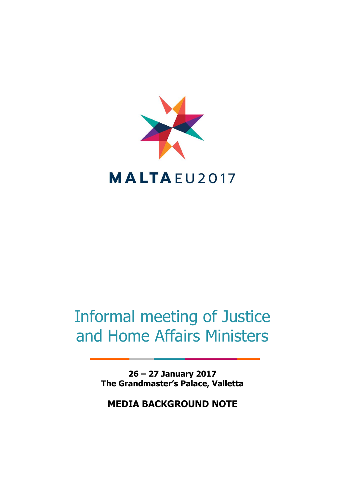

# Informal meeting of Justice and Home Affairs Ministers

**26 – 27 January 2017 The Grandmaster's Palace, Valletta**

**MEDIA BACKGROUND NOTE**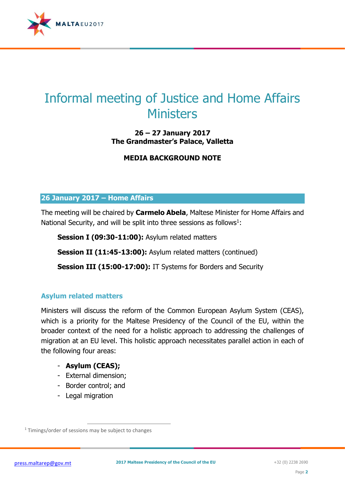

# Informal meeting of Justice and Home Affairs **Ministers**

# **26 – 27 January 2017 The Grandmaster's Palace, Valletta**

# **MEDIA BACKGROUND NOTE**

#### **26 January 2017 – Home Affairs**

The meeting will be chaired by **Carmelo Abela**, Maltese Minister for Home Affairs and National Security, and will be split into three sessions as follows $1$ :

**Session I (09:30-11:00):** Asylum related matters

**Session II (11:45-13:00):** Asylum related matters (continued)

**Session III (15:00-17:00):** IT Systems for Borders and Security

#### **Asylum related matters**

Ministers will discuss the reform of the Common European Asylum System (CEAS), which is a priority for the Maltese Presidency of the Council of the EU, within the broader context of the need for a holistic approach to addressing the challenges of migration at an EU level. This holistic approach necessitates parallel action in each of the following four areas:

#### - **Asylum (CEAS);**

- External dimension;
- Border control; and
- Legal migration

 $\overline{a}$  $1$  Timings/order of sessions may be subject to changes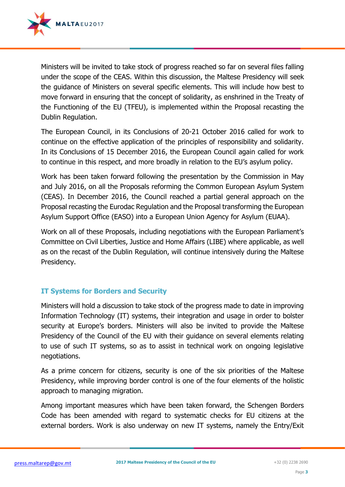

Ministers will be invited to take stock of progress reached so far on several files falling under the scope of the CEAS. Within this discussion, the Maltese Presidency will seek the guidance of Ministers on several specific elements. This will include how best to move forward in ensuring that the concept of solidarity, as enshrined in the Treaty of the Functioning of the EU (TFEU), is implemented within the Proposal recasting the Dublin Regulation.

The European Council, in its Conclusions of 20-21 October 2016 called for work to continue on the effective application of the principles of responsibility and solidarity. In its Conclusions of 15 December 2016, the European Council again called for work to continue in this respect, and more broadly in relation to the EU's asylum policy.

Work has been taken forward following the presentation by the Commission in May and July 2016, on all the Proposals reforming the Common European Asylum System (CEAS). In December 2016, the Council reached a partial general approach on the Proposal recasting the Eurodac Regulation and the Proposal transforming the European Asylum Support Office (EASO) into a European Union Agency for Asylum (EUAA).

Work on all of these Proposals, including negotiations with the European Parliament's Committee on Civil Liberties, Justice and Home Affairs (LIBE) where applicable, as well as on the recast of the Dublin Regulation, will continue intensively during the Maltese Presidency.

# **IT Systems for Borders and Security**

Ministers will hold a discussion to take stock of the progress made to date in improving Information Technology (IT) systems, their integration and usage in order to bolster security at Europe's borders. Ministers will also be invited to provide the Maltese Presidency of the Council of the EU with their guidance on several elements relating to use of such IT systems, so as to assist in technical work on ongoing legislative negotiations.

As a prime concern for citizens, security is one of the six priorities of the Maltese Presidency, while improving border control is one of the four elements of the holistic approach to managing migration.

Among important measures which have been taken forward, the Schengen Borders Code has been amended with regard to systematic checks for EU citizens at the external borders. Work is also underway on new IT systems, namely the Entry/Exit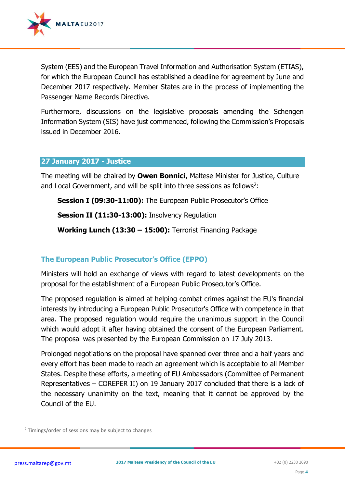

System (EES) and the European Travel Information and Authorisation System (ETIAS), for which the European Council has established a deadline for agreement by June and December 2017 respectively. Member States are in the process of implementing the Passenger Name Records Directive.

Furthermore, discussions on the legislative proposals amending the Schengen Information System (SIS) have just commenced, following the Commission's Proposals issued in December 2016.

#### **27 January 2017 - Justice**

The meeting will be chaired by **Owen Bonnici**, Maltese Minister for Justice, Culture and Local Government, and will be split into three sessions as follows<sup>2</sup>:

**Session I (09:30-11:00):** The European Public Prosecutor's Office

**Session II (11:30-13:00):** Insolvency Regulation

**Working Lunch (13:30 – 15:00):** Terrorist Financing Package

# **The European Public Prosecutor's Office (EPPO)**

Ministers will hold an exchange of views with regard to latest developments on the proposal for the establishment of a European Public Prosecutor's Office.

The proposed regulation is aimed at helping combat crimes against the EU's financial interests by introducing a European Public Prosecutor's Office with competence in that area. The proposed regulation would require the unanimous support in the Council which would adopt it after having obtained the consent of the European Parliament. The proposal was presented by the European Commission on 17 July 2013.

Prolonged negotiations on the proposal have spanned over three and a half years and every effort has been made to reach an agreement which is acceptable to all Member States. Despite these efforts, a meeting of EU Ambassadors (Committee of Permanent Representatives – COREPER II) on 19 January 2017 concluded that there is a lack of the necessary unanimity on the text, meaning that it cannot be approved by the Council of the EU.

 $\overline{a}$ <sup>2</sup> Timings/order of sessions may be subject to changes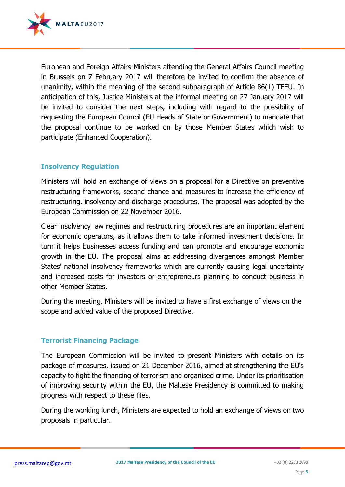

European and Foreign Affairs Ministers attending the General Affairs Council meeting in Brussels on 7 February 2017 will therefore be invited to confirm the absence of unanimity, within the meaning of the second subparagraph of Article 86(1) TFEU. In anticipation of this, Justice Ministers at the informal meeting on 27 January 2017 will be invited to consider the next steps, including with regard to the possibility of requesting the European Council (EU Heads of State or Government) to mandate that the proposal continue to be worked on by those Member States which wish to participate (Enhanced Cooperation).

# **Insolvency Regulation**

Ministers will hold an exchange of views on a proposal for a Directive on preventive restructuring frameworks, second chance and measures to increase the efficiency of restructuring, insolvency and discharge procedures. The proposal was adopted by the European Commission on 22 November 2016.

Clear insolvency law regimes and restructuring procedures are an important element for economic operators, as it allows them to take informed investment decisions. In turn it helps businesses access funding and can promote and encourage economic growth in the EU. The proposal aims at addressing divergences amongst Member States' national insolvency frameworks which are currently causing legal uncertainty and increased costs for investors or entrepreneurs planning to conduct business in other Member States.

During the meeting, Ministers will be invited to have a first exchange of views on the scope and added value of the proposed Directive.

#### **Terrorist Financing Package**

The European Commission will be invited to present Ministers with details on its package of measures, issued on 21 December 2016, aimed at strengthening the EU's capacity to fight the financing of terrorism and organised crime. Under its prioritisation of improving security within the EU, the Maltese Presidency is committed to making progress with respect to these files.

During the working lunch, Ministers are expected to hold an exchange of views on two proposals in particular.